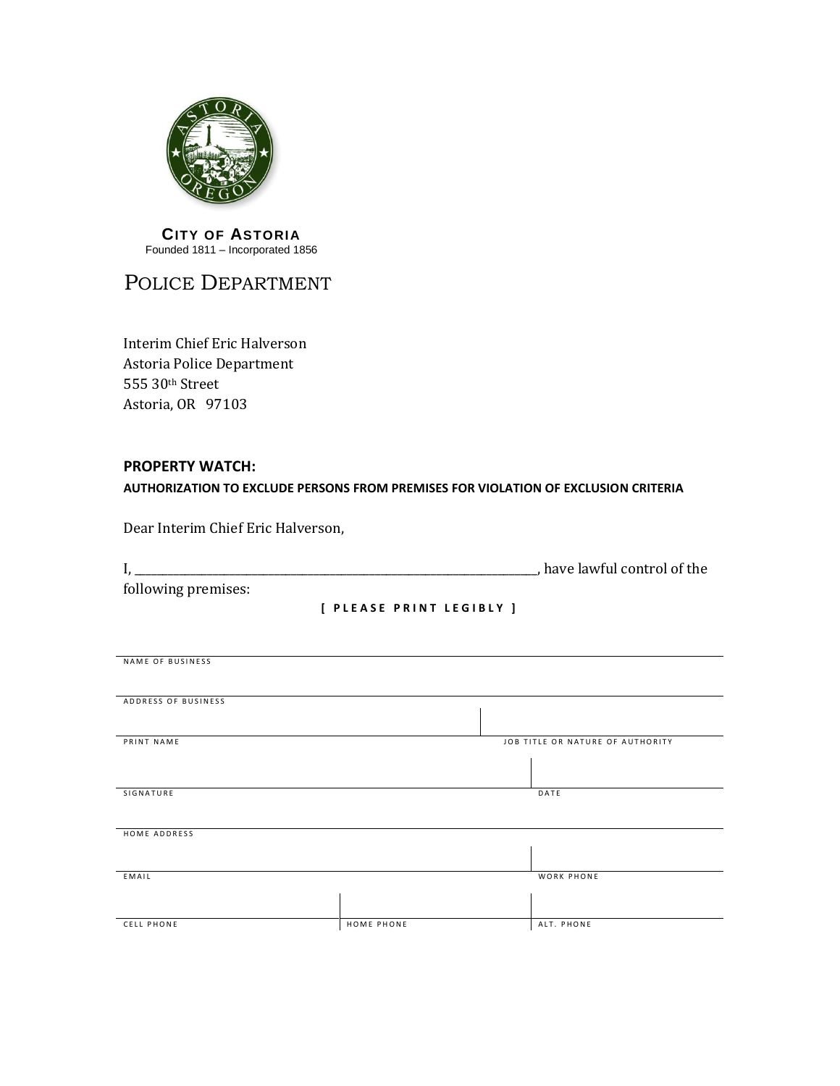

## **CITY OF ASTORIA** Founded 1811 – Incorporated 1856

## POLICE DEPARTMENT

Interim Chief Eric Halverson Astoria Police Department 555 30th Street Astoria, OR 97103

## **PROPERTY WATCH: AUTHORIZATION TO EXCLUDE PERSONS FROM PREMISES FOR VIOLATION OF EXCLUSION CRITERIA**

Dear Interim Chief Eric Halverson,

|                     | have lawful control of the |
|---------------------|----------------------------|
| following premises: |                            |

**[ P L E A S E P R I N T L E G I B L Y ]**

| NAME OF BUSINESS    |            |                                  |
|---------------------|------------|----------------------------------|
|                     |            |                                  |
|                     |            |                                  |
|                     |            |                                  |
|                     |            |                                  |
| ADDRESS OF BUSINESS |            |                                  |
|                     |            |                                  |
|                     |            |                                  |
|                     |            |                                  |
| PRINT NAME          |            | JOB TITLE OR NATURE OF AUTHORITY |
|                     |            |                                  |
|                     |            |                                  |
|                     |            |                                  |
|                     |            |                                  |
|                     |            |                                  |
| SIGNATURE           |            | DATE                             |
|                     |            |                                  |
|                     |            |                                  |
|                     |            |                                  |
|                     |            |                                  |
| HOME ADDRESS        |            |                                  |
|                     |            |                                  |
|                     |            |                                  |
|                     |            |                                  |
|                     |            |                                  |
| EMAIL               |            | WORK PHONE                       |
|                     |            |                                  |
|                     |            |                                  |
|                     |            |                                  |
|                     |            |                                  |
| <b>CELL PHONE</b>   | HOME PHONE | ALT. PHONE                       |
|                     |            |                                  |
|                     |            |                                  |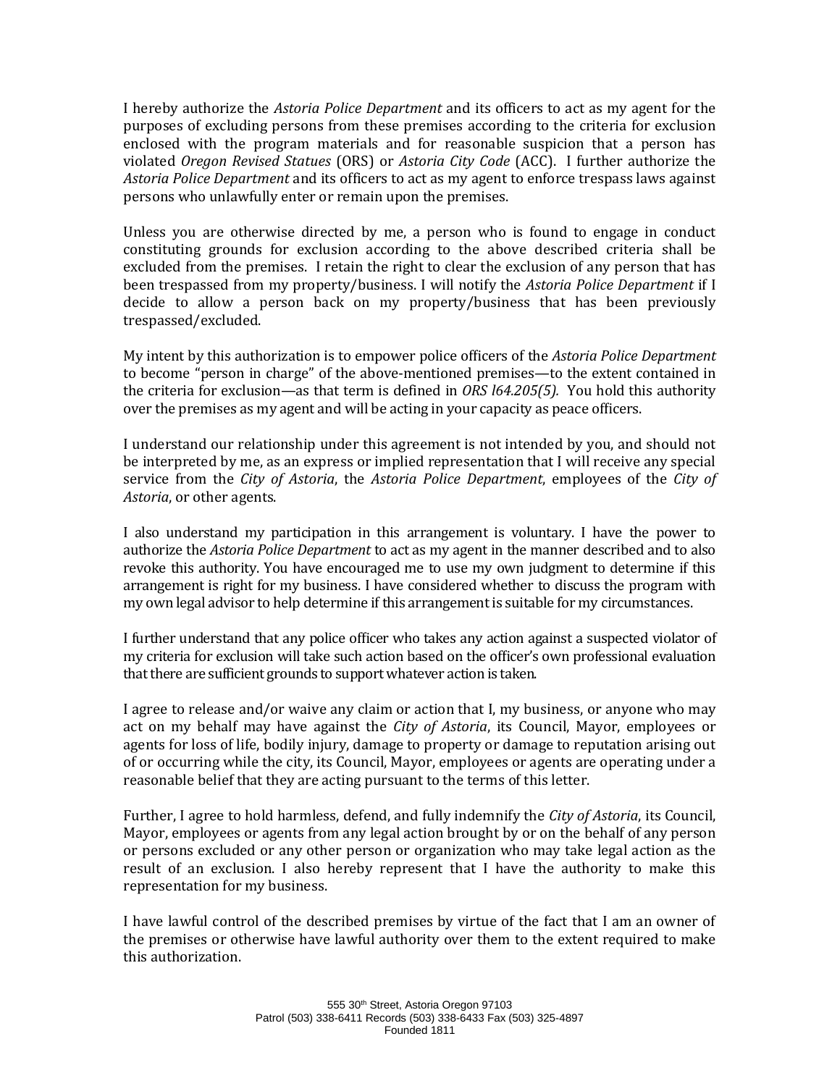I hereby authorize the *Astoria Police Department* and its officers to act as my agent for the purposes of excluding persons from these premises according to the criteria for exclusion enclosed with the program materials and for reasonable suspicion that a person has violated *Oregon Revised Statues* (ORS) or *Astoria City Code* (ACC). I further authorize the *Astoria Police Department* and its officers to act as my agent to enforce trespass laws against persons who unlawfully enter or remain upon the premises.

Unless you are otherwise directed by me, a person who is found to engage in conduct constituting grounds for exclusion according to the above described criteria shall be excluded from the premises. I retain the right to clear the exclusion of any person that has been trespassed from my property/business. I will notify the *Astoria Police Department* if I decide to allow a person back on my property/business that has been previously trespassed/excluded.

My intent by this authorization is to empower police officers of the *Astoria Police Department* to become "person in charge" of the above-mentioned premises—to the extent contained in the criteria for exclusion—as that term is defined in *ORS l64.205(5).* You hold this authority over the premises as my agent and will be acting in your capacity as peace officers.

I understand our relationship under this agreement is not intended by you, and should not be interpreted by me, as an express or implied representation that I will receive any special service from the *City of Astoria*, the *Astoria Police Department*, employees of the *City of Astoria*, or other agents.

I also understand my participation in this arrangement is voluntary. I have the power to authorize the *Astoria Police Department* to act as my agent in the manner described and to also revoke this authority. You have encouraged me to use my own judgment to determine if this arrangement is right for my business. I have considered whether to discuss the program with my own legal advisor to help determine if this arrangement is suitable for my circumstances.

I further understand that any police officer who takes any action against a suspected violator of my criteria for exclusion will take such action based on the officer's own professional evaluation that there are sufficient grounds to support whatever action is taken.

I agree to release and/or waive any claim or action that I, my business, or anyone who may act on my behalf may have against the *City of Astoria*, its Council, Mayor, employees or agents for loss of life, bodily injury, damage to property or damage to reputation arising out of or occurring while the city, its Council, Mayor, employees or agents are operating under a reasonable belief that they are acting pursuant to the terms of this letter.

Further, I agree to hold harmless, defend, and fully indemnify the *City of Astoria*, its Council, Mayor, employees or agents from any legal action brought by or on the behalf of any person or persons excluded or any other person or organization who may take legal action as the result of an exclusion. I also hereby represent that I have the authority to make this representation for my business.

I have lawful control of the described premises by virtue of the fact that I am an owner of the premises or otherwise have lawful authority over them to the extent required to make this authorization.